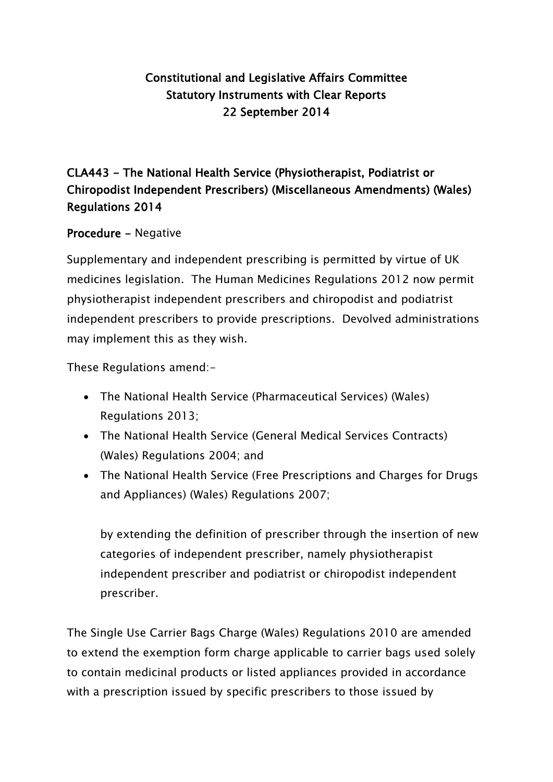## Constitutional and Legislative Affairs Committee Statutory Instruments with Clear Reports 22 September 2014

## CLA443 - The National Health Service (Physiotherapist, Podiatrist or Chiropodist Independent Prescribers) (Miscellaneous Amendments) (Wales) Regulations 2014

### Procedure - Negative

Supplementary and independent prescribing is permitted by virtue of UK medicines legislation. The Human Medicines Regulations 2012 now permit physiotherapist independent prescribers and chiropodist and podiatrist independent prescribers to provide prescriptions. Devolved administrations may implement this as they wish.

These Regulations amend:-

- The National Health Service (Pharmaceutical Services) (Wales) Regulations 2013;
- The National Health Service (General Medical Services Contracts) (Wales) Regulations 2004; and
- The National Health Service (Free Prescriptions and Charges for Drugs and Appliances) (Wales) Regulations 2007;

by extending the definition of prescriber through the insertion of new categories of independent prescriber, namely physiotherapist independent prescriber and podiatrist or chiropodist independent prescriber.

The Single Use Carrier Bags Charge (Wales) Regulations 2010 are amended to extend the exemption form charge applicable to carrier bags used solely to contain medicinal products or listed appliances provided in accordance with a prescription issued by specific prescribers to those issued by